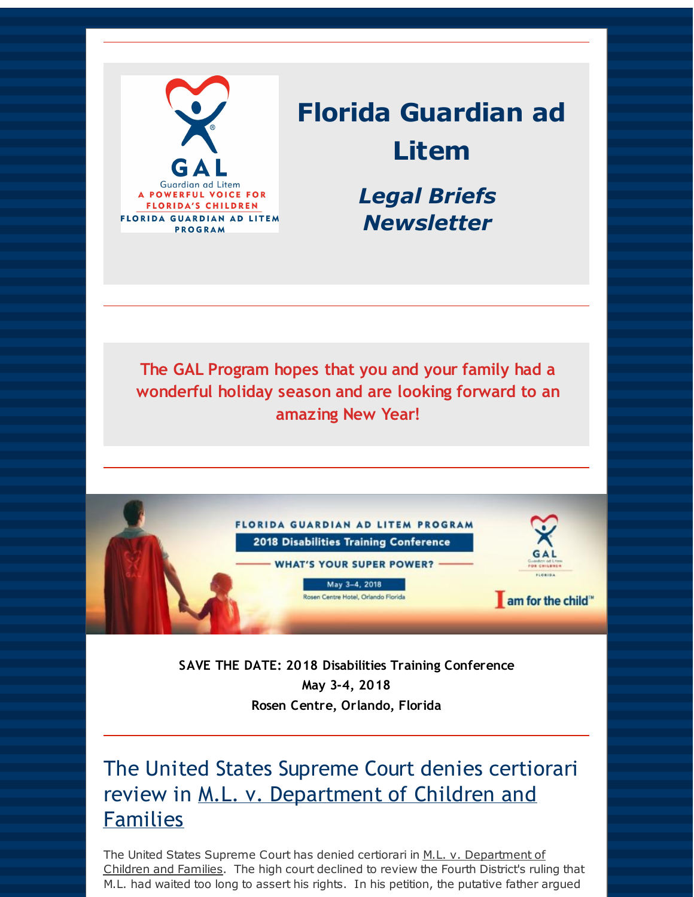

# **Florida Guardian ad Litem**

*Legal Briefs Newsletter*

**The GAL Program hopes that you and your family had a wonderful holiday season and are looking forward to an amazing New Year!**



**SAVE THE DATE: 2018 Disabilities Training Conference May 3-4, 2018 Rosen Centre, Orlando, Florida**

### The United States Supreme Court denies certiorari review in M.L. v. Department of Children and Families

The United States Supreme Court has denied certiorari in M.L. v. Department of Children and Families. The high court declined to review the Fourth District's ruling that M.L. had waited too long to assert his rights. In his petition, the putative father argued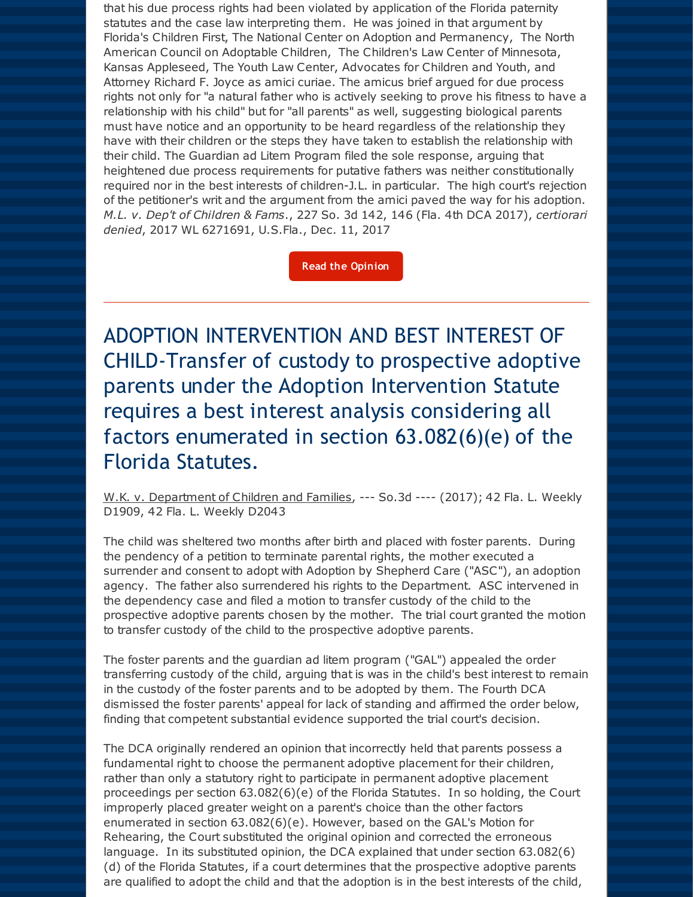that his due process rights had been violated by application of the Florida paternity statutes and the case law interpreting them. He was joined in that argument by Florida's Children First, The National Center on Adoption and Permanency, The North American Council on Adoptable Children, The Children's Law Center of Minnesota, Kansas Appleseed, The Youth Law Center, Advocates for Children and Youth, and Attorney Richard F. Joyce as amici curiae. The amicus brief argued for due process rights not only for "a natural father who is actively seeking to prove his fitness to have a relationship with his child" but for "all parents" as well, suggesting biological parents must have notice and an opportunity to be heard regardless of the relationship they have with their children or the steps they have taken to establish the relationship with their child. The Guardian ad Litem Program filed the sole response, arguing that heightened due process requirements for putative fathers was neither constitutionally required nor in the best interests of children-J.L. in particular. The high court's rejection of the petitioner's writ and the argument from the amici paved the way for his adoption. *M.L. v. Dep't of Children & Fams*., 227 So. 3d 142, 146 (Fla. 4th DCA 2017), *certiorari denied*, 2017 WL 6271691, U.S.Fla., Dec. 11, 2017

**Read the [Opinion](http://r20.rs6.net/tn.jsp?f=001hOtncbYzkS2ab3wSqAd_hpYDzfl0Vt9HC0xawLBxJTclWGDt2fxpypURvFa9naPgaUTOkax16B8buwUokoK7JVIgN1rlMU23Y1kkVepEocSADVoFrH_nu_LqJEKIiAMG4R_cRrPlrp0f3csrJCMPUn3vb0XRZDskF_Fj_Cpfx8Q4H51OwGJM6YB1nhZz4Kx7DuPtYJcZwyEKyY_j_SUNLqEijtJFLG7K-VWGnoke5dafKebkOF_JiA==&c=&ch=)**

ADOPTION INTERVENTION AND BEST INTEREST OF CHILD-Transfer of custody to prospective adoptive parents under the Adoption Intervention Statute requires a best interest analysis considering all factors enumerated in section 63.082(6)(e) of the Florida Statutes.

W.K. v. Department of Children and Families, --- So.3d ---- (2017); 42 Fla. L. Weekly D1909, 42 Fla. L. Weekly D2043

The child was sheltered two months after birth and placed with foster parents. During the pendency of a petition to terminate parental rights, the mother executed a surrender and consent to adopt with Adoption by Shepherd Care ("ASC"), an adoption agency. The father also surrendered his rights to the Department. ASC intervened in the dependency case and filed a motion to transfer custody of the child to the prospective adoptive parents chosen by the mother. The trial court granted the motion to transfer custody of the child to the prospective adoptive parents.

The foster parents and the guardian ad litem program ("GAL") appealed the order transferring custody of the child, arguing that is was in the child's best interest to remain in the custody of the foster parents and to be adopted by them. The Fourth DCA dismissed the foster parents' appeal for lack of standing and affirmed the order below, finding that competent substantial evidence supported the trial court's decision.

The DCA originally rendered an opinion that incorrectly held that parents possess a fundamental right to choose the permanent adoptive placement for their children, rather than only a statutory right to participate in permanent adoptive placement proceedings per section 63.082(6)(e) of the Florida Statutes. In so holding, the Court improperly placed greater weight on a parent's choice than the other factors enumerated in section 63.082(6)(e). However, based on the GAL's Motion for Rehearing, the Court substituted the original opinion and corrected the erroneous language. In its substituted opinion, the DCA explained that under section 63.082(6) (d) of the Florida Statutes, if a court determines that the prospective adoptive parents are qualified to adopt the child and that the adoption is in the best interests of the child,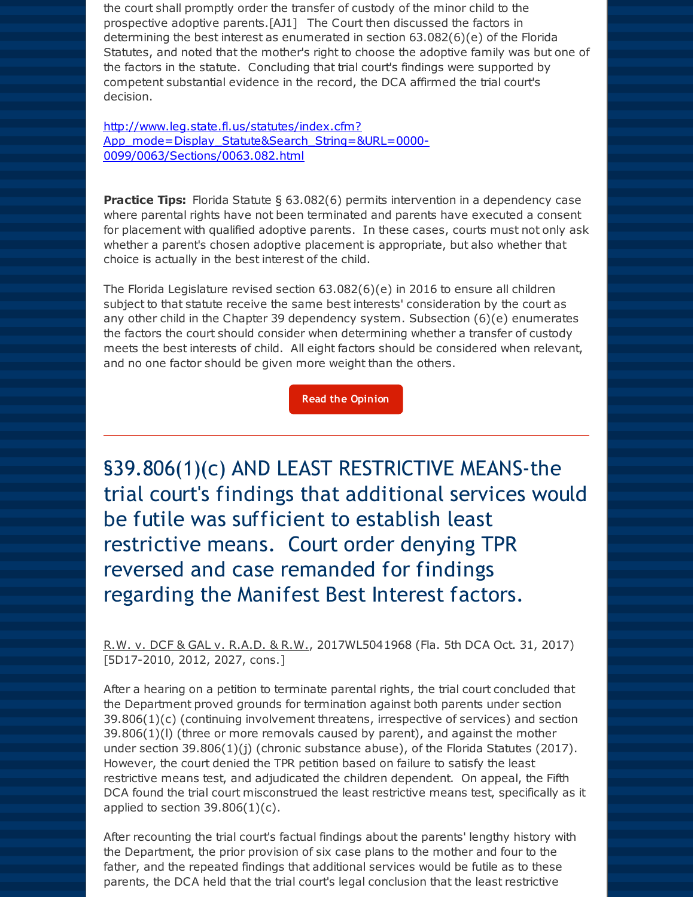the court shall promptly order the transfer of custody of the minor child to the prospective adoptive parents.[AJ1] The Court then discussed the factors in determining the best interest as enumerated in section 63.082(6)(e) of the Florida Statutes, and noted that the mother's right to choose the adoptive family was but one of the factors in the statute. Concluding that trial court's findings were supported by competent substantial evidence in the record, the DCA affirmed the trial court's decision.

http://www.leg.state.fl.us/statutes/index.cfm? [App\\_mode=Display\\_Statute&Search\\_String=&URL=0000-](http://r20.rs6.net/tn.jsp?f=001hOtncbYzkS2ab3wSqAd_hpYDzfl0Vt9HC0xawLBxJTclWGDt2fxpyklEvgkoLWPCNJ9TKYk8giQSBuPMeXrvUaoQsWvjgp8BcpkVdZPd1CNDVDjZH8gChdw2HKcdgyMYhnjL5NxEEcULYbbXM-UyxxX_7SdfGuK6yUkj56V7yrNuYxXffmqVrByCNdxd5JxZg6AJIV71Y8DgvTox0SMaPrBRiULLg-ux7c-YXFPbIWfKwSrDQDDZHesmBYXolndktB5TzuJMpd27lNwYVyKAJZvxizJpn5tYridYhOGgnh66hlzy0bcHJFwsanL5Om4t1fKxxBHLPqSrw4hMEzZmkw==&c=&ch=) 0099/0063/Sections/0063.082.html

**Practice Tips:** Florida Statute § 63.082(6) permits intervention in a dependency case where parental rights have not been terminated and parents have executed a consent for placement with qualified adoptive parents. In these cases, courts must not only ask whether a parent's chosen adoptive placement is appropriate, but also whether that choice is actually in the best interest of the child.

The Florida Legislature revised section 63.082(6)(e) in 2016 to ensure all children subject to that statute receive the same best interests' consideration by the court as any other child in the Chapter 39 dependency system. Subsection (6)(e) enumerates the factors the court should consider when determining whether a transfer of custody meets the best interests of child. All eight factors should be considered when relevant, and no one factor should be given more weight than the others.

**Read the [Opinion](http://r20.rs6.net/tn.jsp?f=001hOtncbYzkS2ab3wSqAd_hpYDzfl0Vt9HC0xawLBxJTclWGDt2fxpyklEvgkoLWPC7409SGxw59CFcDmRIcI3uIDaGnpFl9pTRChQfjWhH4yTz20Pk7Lj7gFwAI0mn5LH51G1lars35BmlH_rD0C0B957BaItCAzgxj23HbUkk8plSdbP9xw-8LT8gjdUjumirmVrte1py-Xr5phI0XSVsYlSSehfZzVYL-fwS_cMVsUl6Rcjy-4UhA==&c=&ch=)**

§39.806(1)(c) AND LEAST RESTRICTIVE MEANS-the trial court's findings that additional services would be futile was sufficient to establish least restrictive means. Court order denying TPR reversed and case remanded for findings regarding the Manifest Best Interest factors.

R.W. v. DCF & GAL v. R.A.D. & R.W., 2017WL5041968 (Fla. 5th DCA Oct. 31, 2017) [5D17-2010, 2012, 2027, cons.]

After a hearing on a petition to terminate parental rights, the trial court concluded that the Department proved grounds for termination against both parents under section  $39.806(1)(c)$  (continuing involvement threatens, irrespective of services) and section 39.806(1)(l) (three or more removals caused by parent), and against the mother under section 39.806(1)(j) (chronic substance abuse), of the Florida Statutes (2017). However, the court denied the TPR petition based on failure to satisfy the least restrictive means test, and adjudicated the children dependent. On appeal, the Fifth DCA found the trial court misconstrued the least restrictive means test, specifically as it applied to section  $39.806(1)(c)$ .

After recounting the trial court's factual findings about the parents' lengthy history with the Department, the prior provision of six case plans to the mother and four to the father, and the repeated findings that additional services would be futile as to these parents, the DCA held that the trial court's legal conclusion that the least restrictive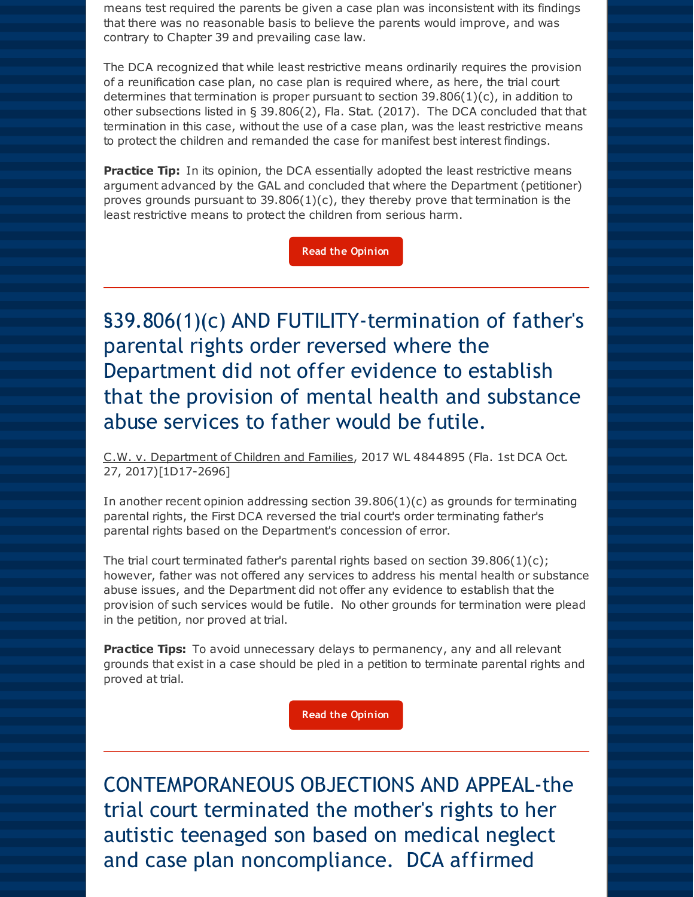means test required the parents be given a case plan was inconsistent with its findings that there was no reasonable basis to believe the parents would improve, and was contrary to Chapter 39 and prevailing case law.

The DCA recognized that while least restrictive means ordinarily requires the provision of a reunification case plan, no case plan is required where, as here, the trial court determines that termination is proper pursuant to section  $39.806(1)(c)$ , in addition to other subsections listed in § 39.806(2), Fla. Stat. (2017). The DCA concluded that that termination in this case, without the use of a case plan, was the least restrictive means to protect the children and remanded the case for manifest best interest findings.

**Practice Tip:** In its opinion, the DCA essentially adopted the least restrictive means argument advanced by the GAL and concluded that where the Department (petitioner) proves grounds pursuant to  $39.806(1)(c)$ , they thereby prove that termination is the least restrictive means to protect the children from serious harm.

**Read the [Opinion](http://r20.rs6.net/tn.jsp?f=001hOtncbYzkS2ab3wSqAd_hpYDzfl0Vt9HC0xawLBxJTclWGDt2fxpyklEvgkoLWPCd-pQ_fZ0usaAMKOqZEmRUwqOaQOaxYGaES-1wWGxP83D9M-QGwlt9g6tG82nSeaeOKekkVkFjKPMe8jiqTxW4XIDVB2HwPOefecochmSxDwEvGV9pRexCfAjs7j9_AjcqU0WzctqEOnfgW_RtHEvo1f8EMSN_Qy82inCBe7L1y_BbOjt0qfaEw==&c=&ch=)**

§39.806(1)(c) AND FUTILITY-termination of father's parental rights order reversed where the Department did not offer evidence to establish that the provision of mental health and substance abuse services to father would be futile.

C.W. v. Department of Children and Families, 2017 WL 4844895 (Fla. 1st DCA Oct. 27, 2017)[1D17-2696]

In another recent opinion addressing section  $39.806(1)(c)$  as grounds for terminating parental rights, the First DCA reversed the trial court's order terminating father's parental rights based on the Department's concession of error.

The trial court terminated father's parental rights based on section  $39.806(1)(c)$ ; however, father was not offered any services to address his mental health or substance abuse issues, and the Department did not offer any evidence to establish that the provision of such services would be futile. No other grounds for termination were plead in the petition, nor proved at trial.

**Practice Tips:** To avoid unnecessary delays to permanency, any and all relevant grounds that exist in a case should be pled in a petition to terminate parental rights and proved at trial.

**Read the [Opinion](http://r20.rs6.net/tn.jsp?f=001hOtncbYzkS2ab3wSqAd_hpYDzfl0Vt9HC0xawLBxJTclWGDt2fxpyklEvgkoLWPCIXyufbOcUUE3qKpNJtQwlSIPuzfWgnAJ3frHjUYykPbEj68wH2-LH6kXJy6vxtl9LllfwzvTLGQbs_wgA3cP2rSdnmRuXzadwY3nhm-0Ve16tzgqPNreVshyXcml6_9MSqQTXAi__pWkZN3u0UVdvksHVN4-9ONFjKH99qgk45FJ3XqJzjUzbg==&c=&ch=)**

CONTEMPORANEOUS OBJECTIONS AND APPEAL-the trial court terminated the mother's rights to her autistic teenaged son based on medical neglect and case plan noncompliance. DCA affirmed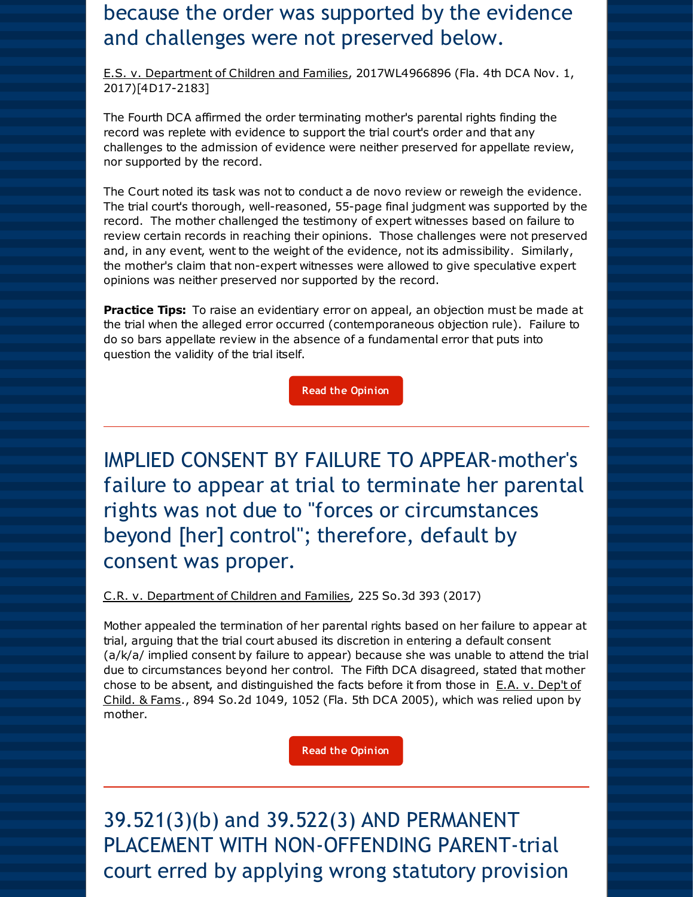### because the order was supported by the evidence and challenges were not preserved below.

E.S. v. Department of Children and Families, 2017WL4966896 (Fla. 4th DCA Nov. 1, 2017)[4D17-2183]

The Fourth DCA affirmed the order terminating mother's parental rights finding the record was replete with evidence to support the trial court's order and that any challenges to the admission of evidence were neither preserved for appellate review, nor supported by the record.

The Court noted its task was not to conduct a de novo review or reweigh the evidence. The trial court's thorough, well-reasoned, 55-page final judgment was supported by the record. The mother challenged the testimony of expert witnesses based on failure to review certain records in reaching their opinions. Those challenges were not preserved and, in any event, went to the weight of the evidence, not its admissibility. Similarly, the mother's claim that non-expert witnesses were allowed to give speculative expert opinions was neither preserved nor supported by the record.

**Practice Tips:** To raise an evidentiary error on appeal, an objection must be made at the trial when the alleged error occurred (contemporaneous objection rule). Failure to do so bars appellate review in the absence of a fundamental error that puts into question the validity of the trial itself.

**Read the [Opinion](http://r20.rs6.net/tn.jsp?f=001hOtncbYzkS2ab3wSqAd_hpYDzfl0Vt9HC0xawLBxJTclWGDt2fxpyklEvgkoLWPCgli_qO21jQA2CJHrf3p0BgNo0EobF_KUjfnth2dEJiEer1HUfQcMXGOFyERhtRhXNIf4kdBxQE--2lLDMqPbm15e1Ha5eD-GCSOWA7WZ8AHTqps--m1uL95vzgmY_-JovBUqN6nBp_hbkqf5yEnqUgfsewVA8jp3NuLauYTjEDaKLl2DckPFvw==&c=&ch=)**

IMPLIED CONSENT BY FAILURE TO APPEAR-mother's failure to appear at trial to terminate her parental rights was not due to "forces or circumstances beyond [her] control"; therefore, default by consent was proper.

C.R. v. Department of Children and Families, 225 So.3d 393 (2017)

Mother appealed the termination of her parental rights based on her failure to appear at trial, arguing that the trial court abused its discretion in entering a default consent (a/k/a/ implied consent by failure to appear) because she was unable to attend the trial due to circumstances beyond her control. The Fifth DCA disagreed, stated that mother chose to be absent, and distinguished the facts before it from those in  $E.A. v.$  Dep't of Child. & Fams., 894 So.2d 1049, 1052 (Fla. 5th DCA 2005), which was relied upon by mother.

**Read the [Opinion](http://r20.rs6.net/tn.jsp?f=001hOtncbYzkS2ab3wSqAd_hpYDzfl0Vt9HC0xawLBxJTclWGDt2fxpyklEvgkoLWPCMbaW9MUWaoMj5Zd0vvPVZGGtF7hX26PzcpZT4v2zBX0cUZMKpR9wvfnpFmsNpmG8CZLDRqQplC6Z7TlrooFFz01944Siu4gCpDdz9Eu3MQgRwG4SMGXMF2mjYK-pHhji2JsEVMZZb_D1aGYl62TUd4QxiifcAweRsVMG00qnFfM=&c=&ch=)**

39.521(3)(b) and 39.522(3) AND PERMANENT PLACEMENT WITH NON-OFFENDING PARENT-trial court erred by applying wrong statutory provision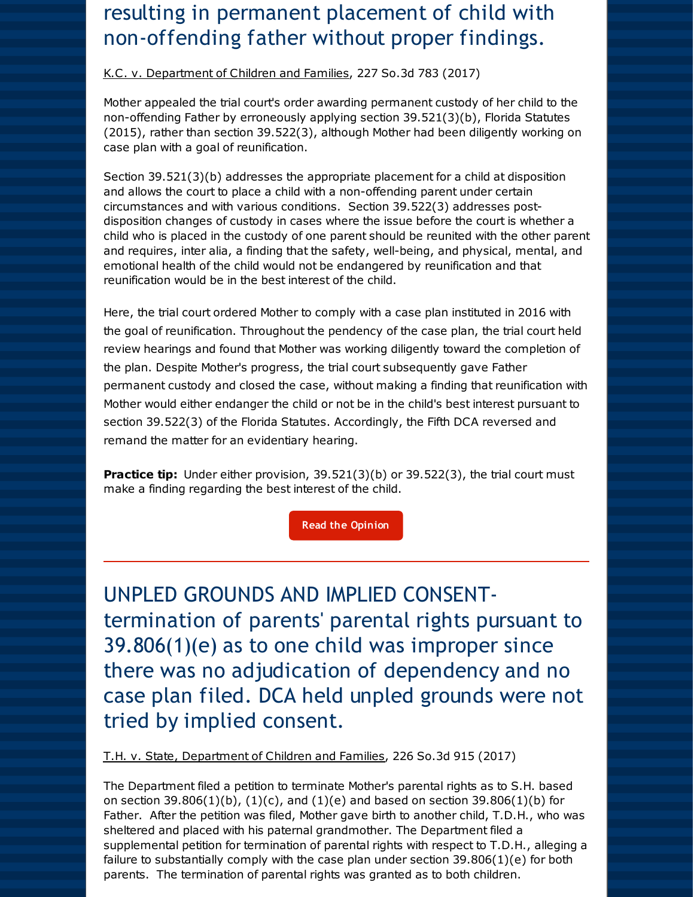### resulting in permanent placement of child with non-offending father without proper findings.

#### K.C. v. Department of Children and Families, 227 So.3d 783 (2017)

Mother appealed the trial court's order awarding permanent custody of her child to the non-offending Father by erroneously applying section 39.521(3)(b), Florida Statutes (2015), rather than section 39.522(3), although Mother had been diligently working on case plan with a goal of reunification.

Section 39.521(3)(b) addresses the appropriate placement for a child at disposition and allows the court to place a child with a non-offending parent under certain circumstances and with various conditions. Section 39.522(3) addresses postdisposition changes of custody in cases where the issue before the court is whether a child who is placed in the custody of one parent should be reunited with the other parent and requires, inter alia, a finding that the safety, well-being, and physical, mental, and emotional health of the child would not be endangered by reunification and that reunification would be in the best interest of the child.

Here, the trial court ordered Mother to comply with a case plan instituted in 2016 with the goal of reunification. Throughout the pendency of the case plan, the trial court held review hearings and found that Mother was working diligently toward the completion of the plan. Despite Mother's progress, the trial court subsequently gave Father permanent custody and closed the case, without making a finding that reunification with Mother would either endanger the child or not be in the child's best interest pursuant to section 39.522(3) of the Florida Statutes. Accordingly, the Fifth DCA reversed and remand the matter for an evidentiary hearing.

**Practice tip:** Under either provision, 39.521(3)(b) or 39.522(3), the trial court must make a finding regarding the best interest of the child.

**Read the [Opinion](http://r20.rs6.net/tn.jsp?f=001hOtncbYzkS2ab3wSqAd_hpYDzfl0Vt9HC0xawLBxJTclWGDt2fxpyklEvgkoLWPC5lzdVlXX7OiqXPtt3atr4OQPEpo6jucZRLMp2_DAy5a7AKXN35Jemefnov9In0RGeyqwKXh0hMg_xfMEJEgWxNsgOBGQuadXJuJsZgRi5_k_Pv5hlKWG1i2ukuJwxWp4dVtyVOnBUoJKQPU05xDRf6dovkIw8TVvB2BaBuNvSew=&c=&ch=)**

UNPLED GROUNDS AND IMPLIED CONSENTtermination of parents' parental rights pursuant to 39.806(1)(e) as to one child was improper since there was no adjudication of dependency and no case plan filed. DCA held unpled grounds were not tried by implied consent.

T.H. v. State, Department of Children and Families, 226 So.3d 915 (2017)

The Department filed a petition to terminate Mother's parental rights as to S.H. based on section 39.806(1)(b), (1)(c), and (1)(e) and based on section 39.806(1)(b) for Father. After the petition was filed, Mother gave birth to another child, T.D.H., who was sheltered and placed with his paternal grandmother. The Department filed a supplemental petition for termination of parental rights with respect to T.D.H., alleging a failure to substantially comply with the case plan under section  $39.806(1)(e)$  for both parents. The termination of parental rights was granted as to both children.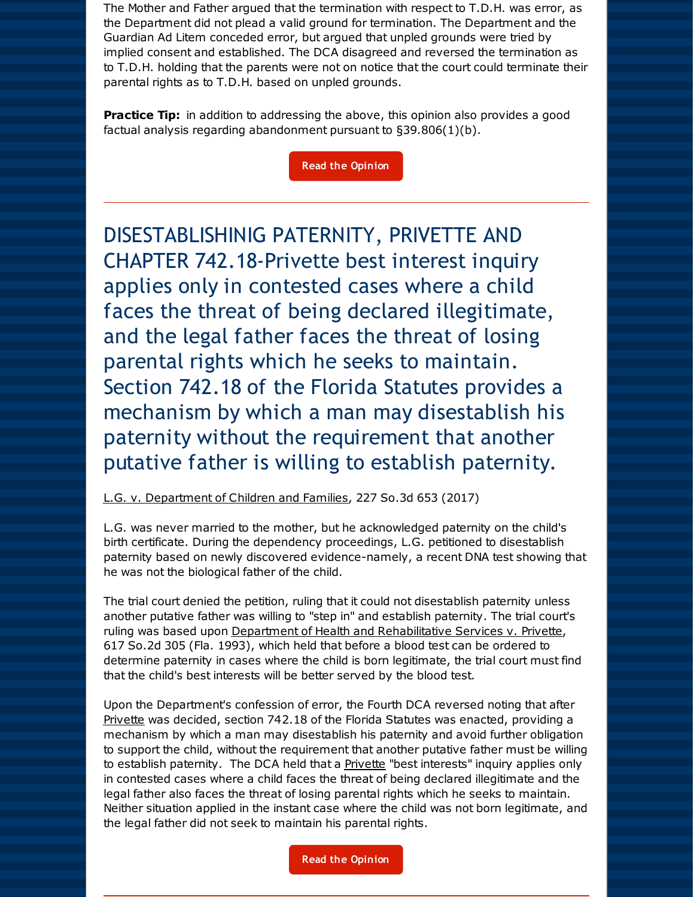The Mother and Father argued that the termination with respect to T.D.H. was error, as the Department did not plead a valid ground for termination. The Department and the Guardian Ad Litem conceded error, but argued that unpled grounds were tried by implied consent and established. The DCA disagreed and reversed the termination as to T.D.H. holding that the parents were not on notice that the court could terminate their parental rights as to T.D.H. based on unpled grounds.

**Practice Tip:** in addition to addressing the above, this opinion also provides a good factual analysis regarding abandonment pursuant to §39.806(1)(b).

#### **Read the [Opinion](http://r20.rs6.net/tn.jsp?f=001hOtncbYzkS2ab3wSqAd_hpYDzfl0Vt9HC0xawLBxJTclWGDt2fxpyklEvgkoLWPCAp1pKrJG2zDLDohNysUp5erwy2g5rRZdFDFuRla74ZmZPU7CP17ME1RSzmF3wxr5M1toaz2yCJeIMk8gRYCS9gIv1_rhXO7Xh8TCGUANBgGF0m_0r-f0ykbAP5mlaU-675hVdx2pQ8YLn89Bzb1QnP89TAswn2lplQ32-cJrn_Y-ZL93HbrzDA==&c=&ch=)**

DISESTABLISHINIG PATERNITY, PRIVETTE AND CHAPTER 742.18-Privette best interest inquiry applies only in contested cases where a child faces the threat of being declared illegitimate, and the legal father faces the threat of losing parental rights which he seeks to maintain. Section 742.18 of the Florida Statutes provides a mechanism by which a man may disestablish his paternity without the requirement that another putative father is willing to establish paternity.

#### L.G. v. Department of Children and Families, 227 So.3d 653 (2017)

L.G. was never married to the mother, but he acknowledged paternity on the child's birth certificate. During the dependency proceedings, L.G. petitioned to disestablish paternity based on newly discovered evidence-namely, a recent DNA test showing that he was not the biological father of the child.

The trial court denied the petition, ruling that it could not disestablish paternity unless another putative father was willing to "step in" and establish paternity. The trial court's ruling was based upon Department of Health and Rehabilitative Services v. Privette, 617 So.2d 305 (Fla. 1993), which held that before a blood test can be ordered to determine paternity in cases where the child is born legitimate, the trial court must find that the child's best interests will be better served by the blood test.

Upon the Department's confession of error, the Fourth DCA reversed noting that after Privette was decided, section 742.18 of the Florida Statutes was enacted, providing a mechanism by which a man may disestablish his paternity and avoid further obligation to support the child, without the requirement that another putative father must be willing to establish paternity. The DCA held that a **Privette** "best interests" inquiry applies only in contested cases where a child faces the threat of being declared illegitimate and the legal father also faces the threat of losing parental rights which he seeks to maintain. Neither situation applied in the instant case where the child was not born legitimate, and the legal father did not seek to maintain his parental rights.

**Read the [Opinion](http://r20.rs6.net/tn.jsp?f=001hOtncbYzkS2ab3wSqAd_hpYDzfl0Vt9HC0xawLBxJTclWGDt2fxpyklEvgkoLWPCJ8vnNIG4pyERdx-CJjf-fuqZUK1HkGBijaCP8JDVhi2l99yV9rS-t_j7aAOEeJreSYoDfbLuYw0Lpfu90-lWAuAGng2hN4MWimaTMd-6byZBEASwJDuhKN9wLDSI8nYmBKo7AO6_hKOQKVyejnFkV_6rzCkJfUs7DgUtaEYtbtxl58ipOgAhZw==&c=&ch=)**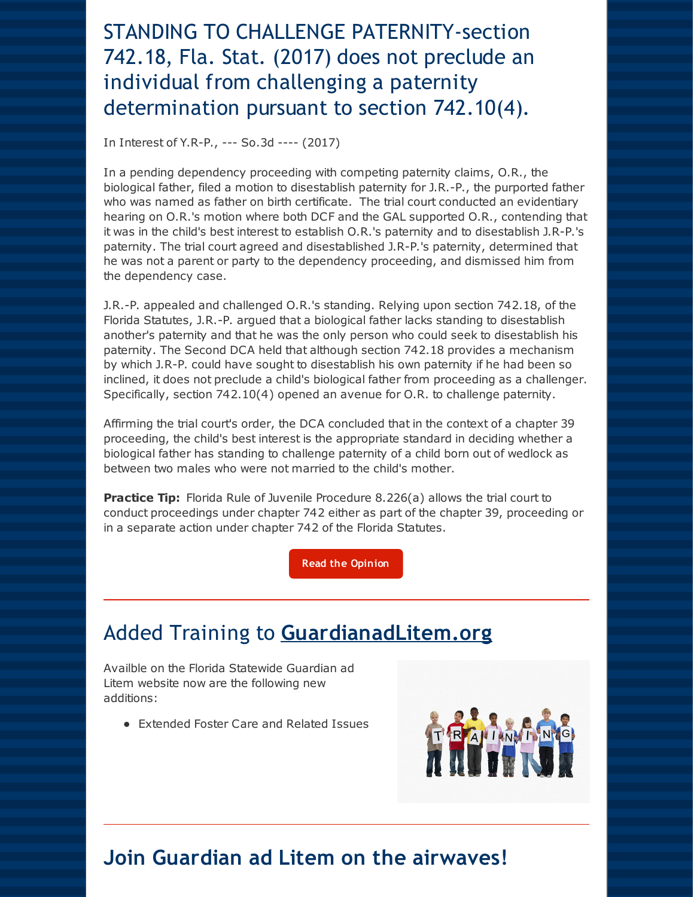## STANDING TO CHALLENGE PATERNITY-section 742.18, Fla. Stat. (2017) does not preclude an individual from challenging a paternity determination pursuant to section 742.10(4).

In Interest of Y.R-P., --- So.3d ---- (2017)

In a pending dependency proceeding with competing paternity claims, O.R., the biological father, filed a motion to disestablish paternity for J.R.-P., the purported father who was named as father on birth certificate. The trial court conducted an evidentiary hearing on O.R.'s motion where both DCF and the GAL supported O.R., contending that it was in the child's best interest to establish O.R.'s paternity and to disestablish J.R-P.'s paternity. The trial court agreed and disestablished J.R-P.'s paternity, determined that he was not a parent or party to the dependency proceeding, and dismissed him from the dependency case.

J.R.-P. appealed and challenged O.R.'s standing. Relying upon section 742.18, of the Florida Statutes, J.R.-P. argued that a biological father lacks standing to disestablish another's paternity and that he was the only person who could seek to disestablish his paternity. The Second DCA held that although section 742.18 provides a mechanism by which J.R-P. could have sought to disestablish his own paternity if he had been so inclined, it does not preclude a child's biological father from proceeding as a challenger. Specifically, section 742.10(4) opened an avenue for O.R. to challenge paternity.

Affirming the trial court's order, the DCA concluded that in the context of a chapter 39 proceeding, the child's best interest is the appropriate standard in deciding whether a biological father has standing to challenge paternity of a child born out of wedlock as between two males who were not married to the child's mother.

**Practice Tip:** Florida Rule of Juvenile Procedure 8.226(a) allows the trial court to conduct proceedings under chapter 742 either as part of the chapter 39, proceeding or in a separate action under chapter 742 of the Florida Statutes.

**Read the [Opinion](http://r20.rs6.net/tn.jsp?f=001hOtncbYzkS2ab3wSqAd_hpYDzfl0Vt9HC0xawLBxJTclWGDt2fxpyklEvgkoLWPCqx0VeGGk_Ktsgnt4vWmiMr5QgnnAaMsX3prdDI27gcX4CFRuGNYA39QRCKYyNe7xuUFMqU9HkjAc0r4wgeWHFDmsWnwSMSfm4-D9WZzYuhQ9yiGQ74RyOHF2_BlDVKwElmy_fku1keic2-DYclSCtg15sM5Z_riSyqJSqnEPYPRJPBrR8f1Q3XMGEXraMaxmcoj_CceNuC6aeVClqBIFiDQIPFmjjaKyc6pRtkb_Zdo=&c=&ch=)**

### Added Training to **[GuardianadLitem.org](http://r20.rs6.net/tn.jsp?f=001hOtncbYzkS2ab3wSqAd_hpYDzfl0Vt9HC0xawLBxJTclWGDt2fxpyoHy_Iy-YvHaL1oXOqeVHLj8gRPzd1y9vUS1HAZ0GG82vLRRfamEZPB6mOlYyKt6He8FC21U6KsKC6iaIrDzJt3T8ezlPGLWjA9b5lL2luxLJmV1mS2klekdAvoZx96RuQ==&c=&ch=)**

Availble on the Florida Statewide Guardian ad Litem website now are the following new additions:

Extended Foster Care and Related Issues



#### **Join Guardian ad Litem on the airwaves!**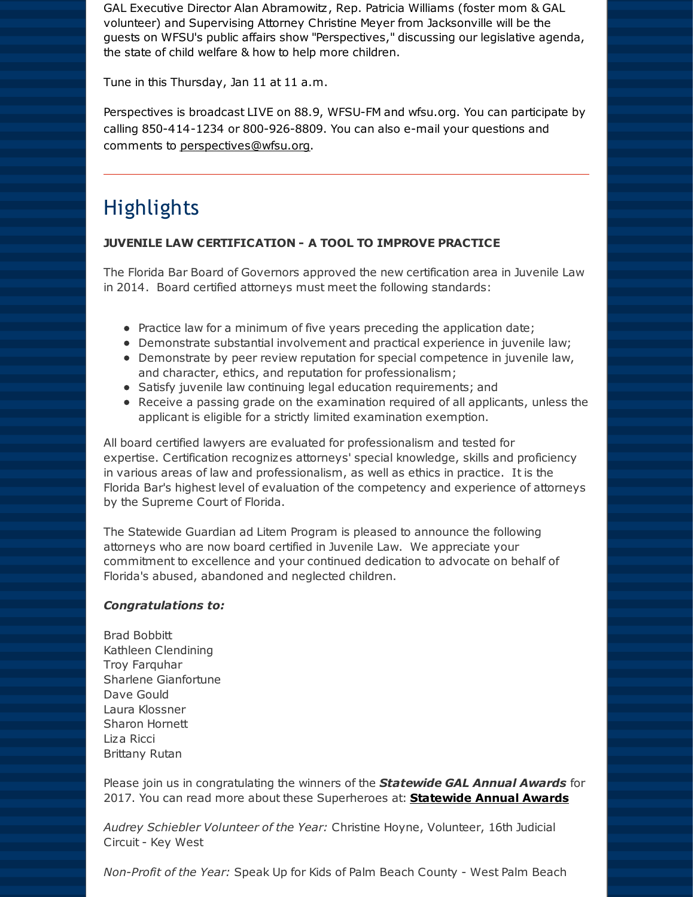GAL Executive Director Alan Abramowitz, Rep. Patricia Williams (foster mom & GAL volunteer) and Supervising Attorney Christine Meyer from Jacksonville will be the guests on WFSU's public affairs show "Perspectives," discussing our legislative agenda, the state of child welfare & how to help more children.

Tune in this Thursday, Jan 11 at 11 a.m.

Perspectives is broadcast LIVE on 88.9, WFSU-FM and wfsu.org. You can participate by calling 850-414-1234 or 800-926-8809. You can also e-mail your questions and comments to [perspectives@wfsu.org](mailto:perspectives@wfsu.org).

### **Highlights**

#### **JUVENILE LAW CERTIFICATION - A TOOL TO IMPROVE PRACTICE**

The Florida Bar Board of Governors approved the new certification area in Juvenile Law in 2014. Board certified attorneys must meet the following standards:

- $\bullet$  Practice law for a minimum of five years preceding the application date;
- Demonstrate substantial involvement and practical experience in juvenile law;
- Demonstrate by peer review reputation for special competence in juvenile law, and character, ethics, and reputation for professionalism;
- Satisfy juvenile law continuing legal education requirements; and
- Receive a passing grade on the examination required of all applicants, unless the applicant is eligible for a strictly limited examination exemption.

All board certified lawyers are evaluated for professionalism and tested for expertise. Certification recognizes attorneys' special knowledge, skills and proficiency in various areas of law and professionalism, as well as ethics in practice. It is the Florida Bar's highest level of evaluation of the competency and experience of attorneys by the Supreme Court of Florida.

The Statewide Guardian ad Litem Program is pleased to announce the following attorneys who are now board certified in Juvenile Law. We appreciate your commitment to excellence and your continued dedication to advocate on behalf of Florida's abused, abandoned and neglected children.

#### *Congratulations to:*

Brad Bobbitt Kathleen Clendining Troy Farquhar Sharlene Gianfortune Dave Gould Laura Klossner Sharon Hornett Liza Ricci Brittany Rutan

Please join us in congratulating the winners of the *Statewide GAL Annual Awards* for 2017. You can read more about these Superheroes at: **[Statewide](http://r20.rs6.net/tn.jsp?f=001hOtncbYzkS2ab3wSqAd_hpYDzfl0Vt9HC0xawLBxJTclWGDt2fxpyklEvgkoLWPCM4Nv9J3JyQgdQ2PMPKW5Qy1L_2F7scs2_ervIEGkFgK6LD4xwLqKY6aziase6WKNlowYdeDYFgcaUaRFJbPVK_S6WgxjLwMV7xRLPT4lX8kAK9Ahed1usx0Yxm0tD3t7&c=&ch=) Annual Awards**

*Audrey Schiebler Volunteer of the Year:* Christine Hoyne, Volunteer, 16th Judicial Circuit - Key West

*Non-Profit of the Year:* Speak Up for Kids of Palm Beach County - West Palm Beach